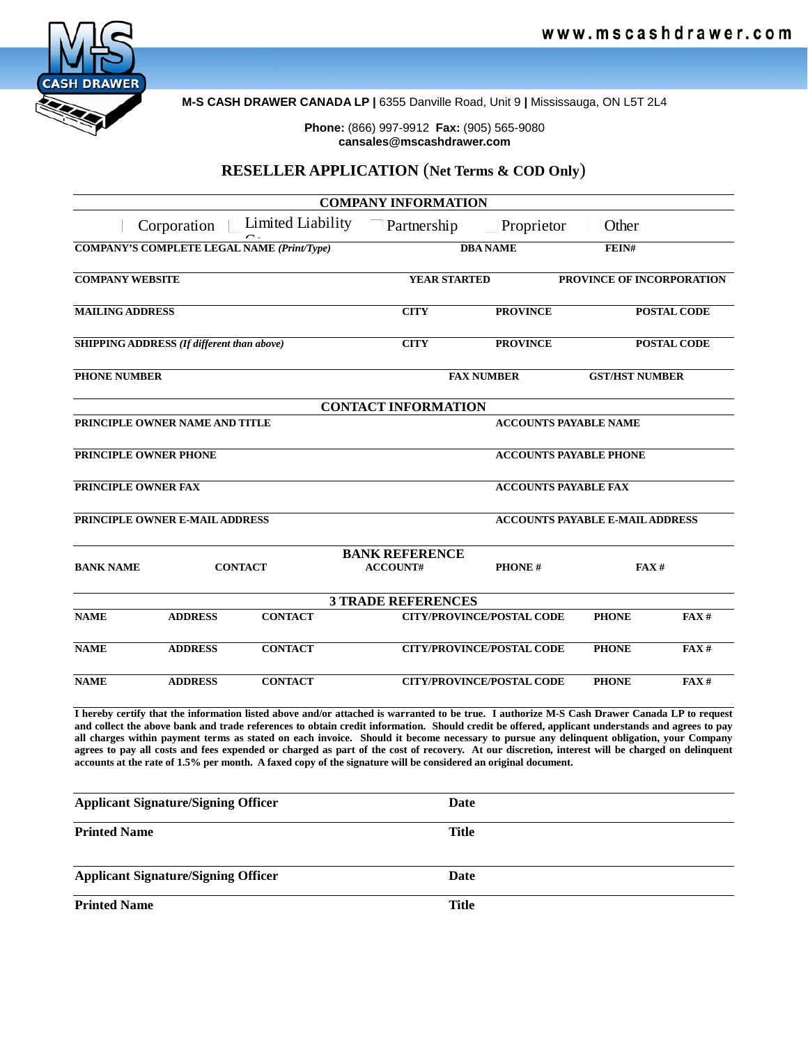

**M-S CASH DRAWER CANADA LP |** 6355 Danville Road, Unit 9 **|** Mississauga, ON L5T 2L4

**Phone:** (866) 997-9912 **Fax:** (905) 565-9080 **cansales@mscashdrawer.com**

# **RESELLER APPLICATION** (**Net Terms & COD Only**)

|                                                   |                                |                                                                                                                                                                                                                                                                                                                                                                                                                                                                                                                                                                                                                                                                                                                  | <b>COMPANY INFORMATION</b> |                                  |                                        |                       |  |
|---------------------------------------------------|--------------------------------|------------------------------------------------------------------------------------------------------------------------------------------------------------------------------------------------------------------------------------------------------------------------------------------------------------------------------------------------------------------------------------------------------------------------------------------------------------------------------------------------------------------------------------------------------------------------------------------------------------------------------------------------------------------------------------------------------------------|----------------------------|----------------------------------|----------------------------------------|-----------------------|--|
|                                                   | Corporation                    | Limited Liability                                                                                                                                                                                                                                                                                                                                                                                                                                                                                                                                                                                                                                                                                                | Partnership                | Proprietor                       | Other                                  |                       |  |
| <b>COMPANY'S COMPLETE LEGAL NAME (Print/Type)</b> |                                |                                                                                                                                                                                                                                                                                                                                                                                                                                                                                                                                                                                                                                                                                                                  |                            | <b>DBA NAME</b>                  |                                        | FEIN#                 |  |
| <b>COMPANY WEBSITE</b>                            |                                |                                                                                                                                                                                                                                                                                                                                                                                                                                                                                                                                                                                                                                                                                                                  | <b>YEAR STARTED</b>        |                                  | PROVINCE OF INCORPORATION              |                       |  |
| <b>MAILING ADDRESS</b>                            |                                |                                                                                                                                                                                                                                                                                                                                                                                                                                                                                                                                                                                                                                                                                                                  | <b>CITY</b>                | <b>PROVINCE</b>                  |                                        | <b>POSTAL CODE</b>    |  |
| <b>SHIPPING ADDRESS</b> (If different than above) |                                |                                                                                                                                                                                                                                                                                                                                                                                                                                                                                                                                                                                                                                                                                                                  | <b>CITY</b>                | <b>PROVINCE</b>                  |                                        | <b>POSTAL CODE</b>    |  |
| <b>PHONE NUMBER</b>                               |                                |                                                                                                                                                                                                                                                                                                                                                                                                                                                                                                                                                                                                                                                                                                                  | <b>FAX NUMBER</b>          |                                  |                                        | <b>GST/HST NUMBER</b> |  |
|                                                   |                                |                                                                                                                                                                                                                                                                                                                                                                                                                                                                                                                                                                                                                                                                                                                  | <b>CONTACT INFORMATION</b> |                                  |                                        |                       |  |
| PRINCIPLE OWNER NAME AND TITLE                    |                                |                                                                                                                                                                                                                                                                                                                                                                                                                                                                                                                                                                                                                                                                                                                  |                            | <b>ACCOUNTS PAYABLE NAME</b>     |                                        |                       |  |
| <b>PRINCIPLE OWNER PHONE</b>                      |                                |                                                                                                                                                                                                                                                                                                                                                                                                                                                                                                                                                                                                                                                                                                                  |                            | <b>ACCOUNTS PAYABLE PHONE</b>    |                                        |                       |  |
| PRINCIPLE OWNER FAX                               |                                |                                                                                                                                                                                                                                                                                                                                                                                                                                                                                                                                                                                                                                                                                                                  |                            |                                  | <b>ACCOUNTS PAYABLE FAX</b>            |                       |  |
|                                                   | PRINCIPLE OWNER E-MAIL ADDRESS |                                                                                                                                                                                                                                                                                                                                                                                                                                                                                                                                                                                                                                                                                                                  |                            |                                  | <b>ACCOUNTS PAYABLE E-MAIL ADDRESS</b> |                       |  |
|                                                   |                                |                                                                                                                                                                                                                                                                                                                                                                                                                                                                                                                                                                                                                                                                                                                  | <b>BANK REFERENCE</b>      |                                  |                                        |                       |  |
| <b>BANK NAME</b>                                  | <b>CONTACT</b>                 |                                                                                                                                                                                                                                                                                                                                                                                                                                                                                                                                                                                                                                                                                                                  | <b>ACCOUNT#</b>            | <b>PHONE#</b>                    |                                        | FAX#                  |  |
|                                                   |                                |                                                                                                                                                                                                                                                                                                                                                                                                                                                                                                                                                                                                                                                                                                                  | <b>3 TRADE REFERENCES</b>  |                                  |                                        |                       |  |
| <b>NAME</b>                                       | <b>ADDRESS</b>                 | <b>CONTACT</b>                                                                                                                                                                                                                                                                                                                                                                                                                                                                                                                                                                                                                                                                                                   |                            | <b>CITY/PROVINCE/POSTAL CODE</b> | <b>PHONE</b>                           | FAX#                  |  |
| <b>NAME</b>                                       | <b>ADDRESS</b>                 | <b>CONTACT</b>                                                                                                                                                                                                                                                                                                                                                                                                                                                                                                                                                                                                                                                                                                   |                            | <b>CITY/PROVINCE/POSTAL CODE</b> | <b>PHONE</b>                           | FAX#                  |  |
| <b>NAME</b>                                       | <b>ADDRESS</b>                 | <b>CONTACT</b>                                                                                                                                                                                                                                                                                                                                                                                                                                                                                                                                                                                                                                                                                                   |                            | <b>CITY/PROVINCE/POSTAL CODE</b> | <b>PHONE</b>                           | FAX#                  |  |
|                                                   |                                | I hereby certify that the information listed above and/or attached is warranted to be true. I authorize M-S Cash Drawer Canada LP to request<br>and collect the above bank and trade references to obtain credit information. Should credit be offered, applicant understands and agrees to pay<br>all charges within payment terms as stated on each invoice. Should it become necessary to pursue any delinquent obligation, your Company<br>agrees to pay all costs and fees expended or charged as part of the cost of recovery. At our discretion, interest will be charged on delinquent<br>accounts at the rate of 1.5% per month. A faxed copy of the signature will be considered an original document. |                            |                                  |                                        |                       |  |
| <b>Applicant Signature/Signing Officer</b>        |                                |                                                                                                                                                                                                                                                                                                                                                                                                                                                                                                                                                                                                                                                                                                                  | <b>Date</b>                |                                  |                                        |                       |  |

| Аррисант эгднаште/эгднигд Онтсег           | <i>v</i> ate |
|--------------------------------------------|--------------|
| <b>Printed Name</b>                        | Title        |
|                                            |              |
| <b>Applicant Signature/Signing Officer</b> | Date         |
| <b>Printed Name</b>                        | Title        |